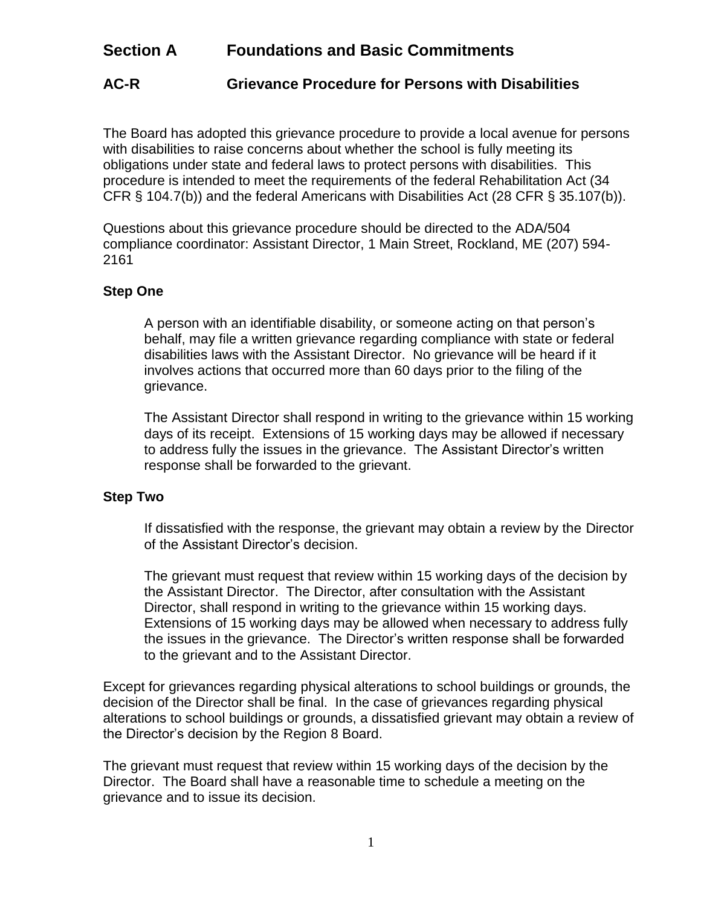## **Section A Foundations and Basic Commitments**

## **AC-R Grievance Procedure for Persons with Disabilities**

The Board has adopted this grievance procedure to provide a local avenue for persons with disabilities to raise concerns about whether the school is fully meeting its obligations under state and federal laws to protect persons with disabilities. This procedure is intended to meet the requirements of the federal Rehabilitation Act (34 CFR § 104.7(b)) and the federal Americans with Disabilities Act (28 CFR § 35.107(b)).

Questions about this grievance procedure should be directed to the ADA/504 compliance coordinator: Assistant Director, 1 Main Street, Rockland, ME (207) 594- 2161

## **Step One**

A person with an identifiable disability, or someone acting on that person's behalf, may file a written grievance regarding compliance with state or federal disabilities laws with the Assistant Director. No grievance will be heard if it involves actions that occurred more than 60 days prior to the filing of the grievance.

The Assistant Director shall respond in writing to the grievance within 15 working days of its receipt. Extensions of 15 working days may be allowed if necessary to address fully the issues in the grievance. The Assistant Director's written response shall be forwarded to the grievant.

## **Step Two**

If dissatisfied with the response, the grievant may obtain a review by the Director of the Assistant Director's decision.

The grievant must request that review within 15 working days of the decision by the Assistant Director. The Director, after consultation with the Assistant Director, shall respond in writing to the grievance within 15 working days. Extensions of 15 working days may be allowed when necessary to address fully the issues in the grievance. The Director's written response shall be forwarded to the grievant and to the Assistant Director.

Except for grievances regarding physical alterations to school buildings or grounds, the decision of the Director shall be final. In the case of grievances regarding physical alterations to school buildings or grounds, a dissatisfied grievant may obtain a review of the Director's decision by the Region 8 Board.

The grievant must request that review within 15 working days of the decision by the Director. The Board shall have a reasonable time to schedule a meeting on the grievance and to issue its decision.